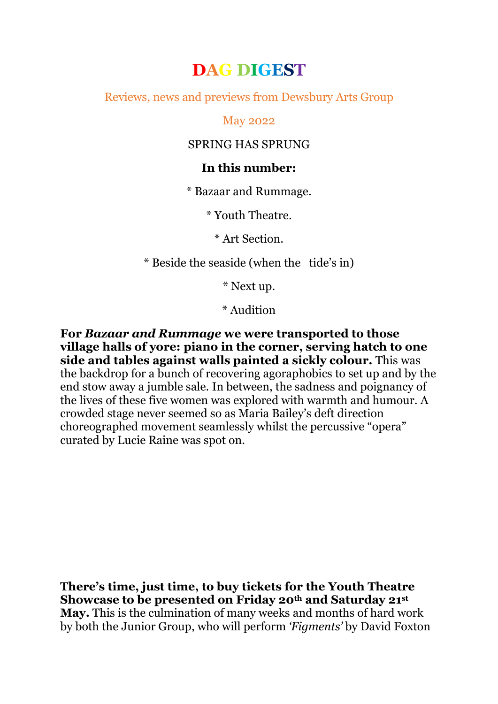# **DAG DIGEST**

Reviews, news and previews from Dewsbury Arts Group

May 2022

## SPRING HAS SPRUNG

## **In this number:**

\* Bazaar and Rummage.

\* Youth Theatre.

\* Art Section.

\* Beside the seaside (when the tide's in)

\* Next up.

\* Audition

**For** *Bazaar and Rummage* **we were transported to those village halls of yore: piano in the corner, serving hatch to one side and tables against walls painted a sickly colour.** This was the backdrop for a bunch of recovering agoraphobics to set up and by the end stow away a jumble sale. In between, the sadness and poignancy of the lives of these five women was explored with warmth and humour. A crowded stage never seemed so as Maria Bailey's deft direction choreographed movement seamlessly whilst the percussive "opera" curated by Lucie Raine was spot on.

**There's time, just time, to buy tickets for the Youth Theatre Showcase to be presented on Friday 20th and Saturday 21st May.** This is the culmination of many weeks and months of hard work by both the Junior Group, who will perform *'Figments'* by David Foxton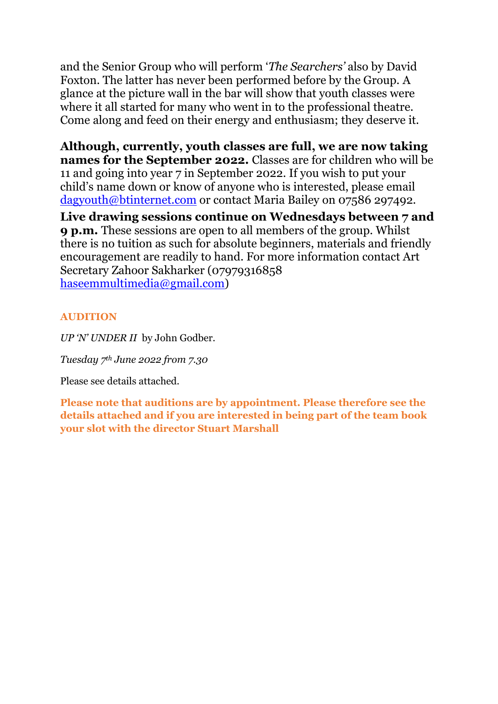and the Senior Group who will perform '*The Searchers'* also by David Foxton. The latter has never been performed before by the Group. A glance at the picture wall in the bar will show that youth classes were where it all started for many who went in to the professional theatre. Come along and feed on their energy and enthusiasm; they deserve it.

**Although, currently, youth classes are full, we are now taking names for the September 2022.** Classes are for children who will be 11 and going into year 7 in September 2022. If you wish to put your child's name down or know of anyone who is interested, please email [dagyouth@btinternet.com](mailto:dagyouth@btinternet.com) or contact Maria Bailey on 07586 297492.

**Live drawing sessions continue on Wednesdays between 7 and 9 p.m.** These sessions are open to all members of the group. Whilst there is no tuition as such for absolute beginners, materials and friendly encouragement are readily to hand. For more information contact Art Secretary Zahoor Sakharker (07979316858 [haseemmultimedia@gmail.com\)](mailto:haseemmultimedia@gmail.com)

### **AUDITION**

*UP 'N' UNDER II* by John Godber.

*Tuesday 7th June 2022 from 7.30*

Please see details attached.

**Please note that auditions are by appointment. Please therefore see the details attached and if you are interested in being part of the team book your slot with the director Stuart Marshall**